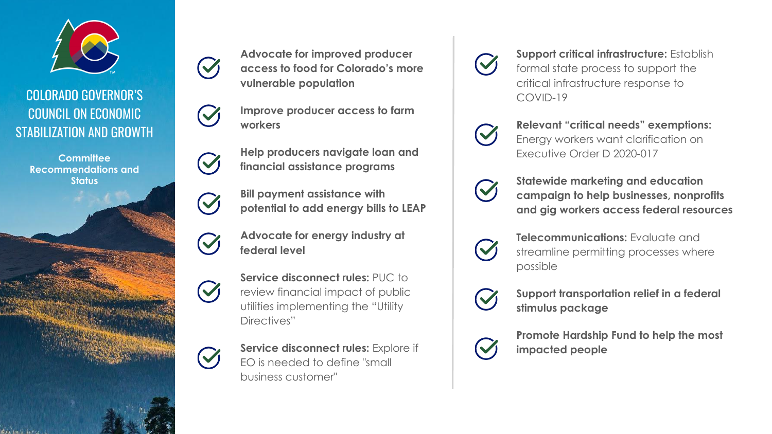

## COLORADO GOVERNOR'S COUNCIL ON ECONOMIC STABILIZATION AND GROWTH

**Committee Recommendations and Status**



**Advocate for improved producer access to food for Colorado's more vulnerable population**

**Improve producer access to farm workers**

**Help producers navigate loan and financial assistance programs**

**Bill payment assistance with potential to add energy bills to LEAP**

**Advocate for energy industry at federal level**

Service disconnect rules: PUC to review financial impact of public utilities implementing the "Utility Directives"

 $\blacktriangledown$ 

 $\blacktriangledown$ 

 $\blacktriangledown$ 

 $\mathcal{C}$ 

 $\blacktriangledown$ 

**Service disconnect rules:** Explore if EO is needed to define "small business customer"

**Support critical infrastructure:** Establish formal state process to support the critical infrastructure response to COVID-19

**Relevant "critical needs" exemptions:**  Energy workers want clarification on Executive Order D 2020-017

**Statewide marketing and education campaign to help businesses, nonprofits and gig workers access federal resources**

**Telecommunications:** Evaluate and streamline permitting processes where possible

**Support transportation relief in a federal stimulus package**

**Promote Hardship Fund to help the most impacted people**